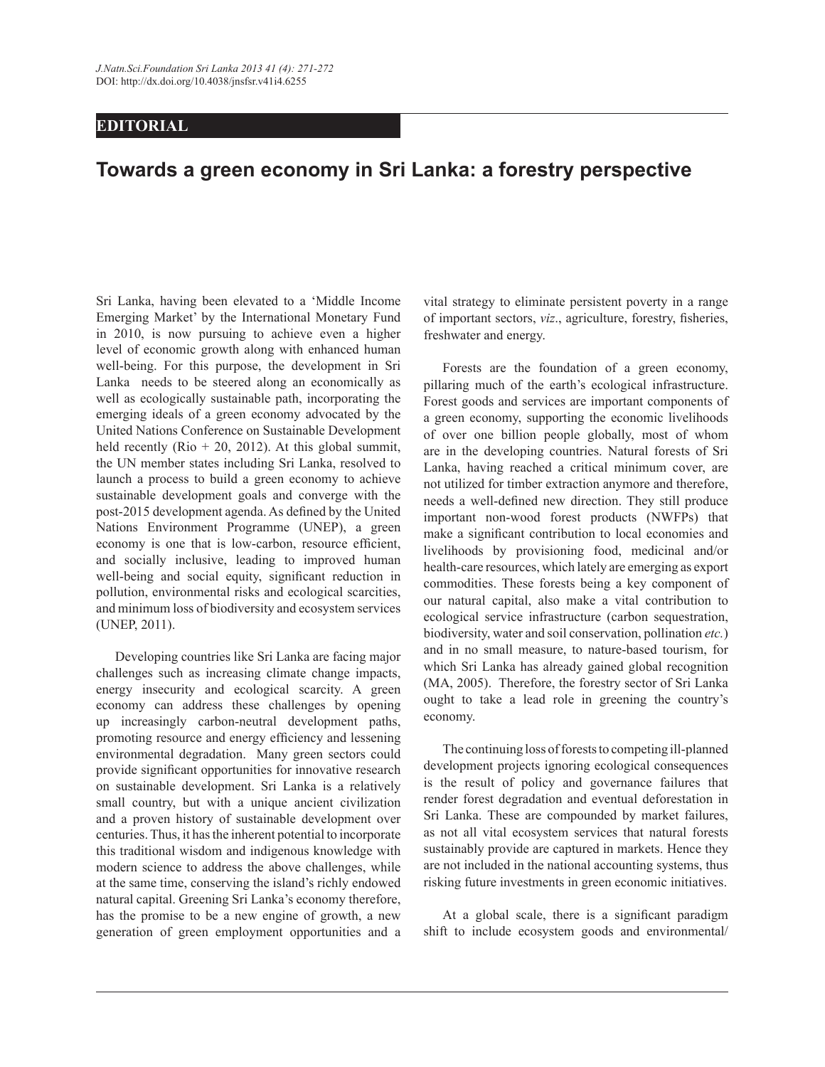## **EDITORIAL**

## **Towards a green economy in Sri Lanka: a forestry perspective**

Sri Lanka, having been elevated to a 'Middle Income Emerging Market' by the International Monetary Fund in 2010, is now pursuing to achieve even a higher level of economic growth along with enhanced human well-being. For this purpose, the development in Sri Lanka needs to be steered along an economically as well as ecologically sustainable path, incorporating the emerging ideals of a green economy advocated by the United Nations Conference on Sustainable Development held recently (Rio  $+$  20, 2012). At this global summit, the UN member states including Sri Lanka, resolved to launch a process to build a green economy to achieve sustainable development goals and converge with the post-2015 development agenda. As defined by the United Nations Environment Programme (UNEP), a green economy is one that is low-carbon, resource efficient, and socially inclusive, leading to improved human well-being and social equity, significant reduction in pollution, environmental risks and ecological scarcities, and minimum loss of biodiversity and ecosystem services (UNEP, 2011).

Developing countries like Sri Lanka are facing major challenges such as increasing climate change impacts, energy insecurity and ecological scarcity. A green economy can address these challenges by opening up increasingly carbon-neutral development paths, promoting resource and energy efficiency and lessening environmental degradation. Many green sectors could provide significant opportunities for innovative research on sustainable development. Sri Lanka is a relatively small country, but with a unique ancient civilization and a proven history of sustainable development over centuries. Thus, it has the inherent potential to incorporate this traditional wisdom and indigenous knowledge with modern science to address the above challenges, while at the same time, conserving the island's richly endowed natural capital. Greening Sri Lanka's economy therefore, has the promise to be a new engine of growth, a new generation of green employment opportunities and a

vital strategy to eliminate persistent poverty in a range of important sectors, *viz*., agriculture, forestry, fisheries, freshwater and energy.

Forests are the foundation of a green economy, pillaring much of the earth's ecological infrastructure. Forest goods and services are important components of a green economy, supporting the economic livelihoods of over one billion people globally, most of whom are in the developing countries. Natural forests of Sri Lanka, having reached a critical minimum cover, are not utilized for timber extraction anymore and therefore, needs a well-defined new direction. They still produce important non-wood forest products (NWFPs) that make a significant contribution to local economies and livelihoods by provisioning food, medicinal and/or health-care resources, which lately are emerging as export commodities. These forests being a key component of our natural capital, also make a vital contribution to ecological service infrastructure (carbon sequestration, biodiversity, water and soil conservation, pollination *etc.*) and in no small measure, to nature-based tourism, for which Sri Lanka has already gained global recognition (MA, 2005). Therefore, the forestry sector of Sri Lanka ought to take a lead role in greening the country's economy.

The continuing loss of forests to competing ill-planned development projects ignoring ecological consequences is the result of policy and governance failures that render forest degradation and eventual deforestation in Sri Lanka. These are compounded by market failures, as not all vital ecosystem services that natural forests sustainably provide are captured in markets. Hence they are not included in the national accounting systems, thus risking future investments in green economic initiatives.

At a global scale, there is a significant paradigm shift to include ecosystem goods and environmental/